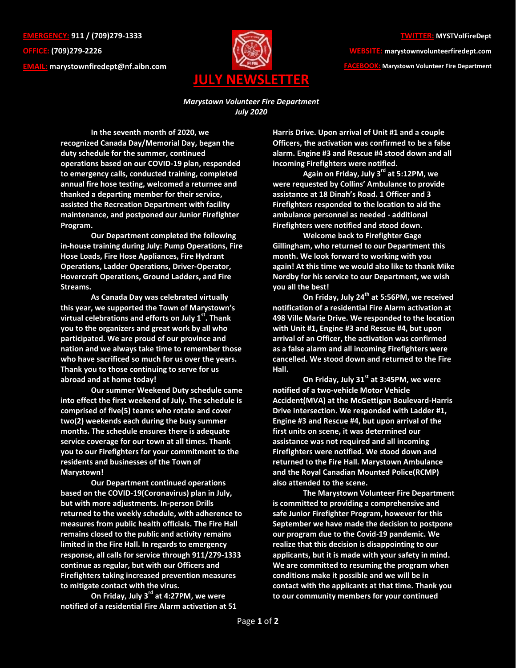**EMERGENCY: 911 / (709)279-1333 OFFICE: (709)279-2226 EMAIL: [marystownfiredept@nf.aibn.com](mailto:marystownfiredept@nf.aibn.com)**



**WEBSITE: marystownvolunteerfiredept.com FACEBOOK: Marystown Volunteer Fire Department**

*Marystown Volunteer Fire Department July 2020*

**In the seventh month of 2020, we recognized Canada Day/Memorial Day, began the duty schedule for the summer, continued operations based on our COVID-19 plan, responded to emergency calls, conducted training, completed annual fire hose testing, welcomed a returnee and thanked a departing member for their service, assisted the Recreation Department with facility maintenance, and postponed our Junior Firefighter Program.**

**Our Department completed the following in-house training during July: Pump Operations, Fire Hose Loads, Fire Hose Appliances, Fire Hydrant Operations, Ladder Operations, Driver-Operator, Hovercraft Operations, Ground Ladders, and Fire Streams.**

**As Canada Day was celebrated virtually this year, we supported the Town of Marystown's virtual celebrations and efforts on July 1st . Thank you to the organizers and great work by all who participated. We are proud of our province and nation and we always take time to remember those who have sacrificed so much for us over the years. Thank you to those continuing to serve for us abroad and at home today!**

**Our summer Weekend Duty schedule came into effect the first weekend of July. The schedule is comprised of five(5) teams who rotate and cover two(2) weekends each during the busy summer months. The schedule ensures there is adequate service coverage for our town at all times. Thank you to our Firefighters for your commitment to the residents and businesses of the Town of Marystown!**

**Our Department continued operations based on the COVID-19(Coronavirus) plan in July, but with more adjustments. In-person Drills returned to the weekly schedule, with adherence to measures from public health officials. The Fire Hall remains closed to the public and activity remains limited in the Fire Hall. In regards to emergency response, all calls for service through 911/279-1333 continue as regular, but with our Officers and Firefighters taking increased prevention measures to mitigate contact with the virus.**

**On Friday, July 3 rd at 4:27PM, we were notified of a residential Fire Alarm activation at 51**  **Harris Drive. Upon arrival of Unit #1 and a couple Officers, the activation was confirmed to be a false alarm. Engine #3 and Rescue #4 stood down and all incoming Firefighters were notified.** 

**Again on Friday, July 3 rd at 5:12PM, we were requested by Collins' Ambulance to provide assistance at 18 Dinah's Road. 1 Officer and 3 Firefighters responded to the location to aid the ambulance personnel as needed - additional Firefighters were notified and stood down.** 

**Welcome back to Firefighter Gage Gillingham, who returned to our Department this month. We look forward to working with you again! At this time we would also like to thank Mike Nordby for his service to our Department, we wish you all the best!**

**On Friday, July 24 th at 5:56PM, we received notification of a residential Fire Alarm activation at 498 Ville Marie Drive. We responded to the location with Unit #1, Engine #3 and Rescue #4, but upon arrival of an Officer, the activation was confirmed as a false alarm and all incoming Firefighters were cancelled. We stood down and returned to the Fire Hall.**

**On Friday, July 31 st at 3:45PM, we were notified of a two-vehicle Motor Vehicle Accident(MVA) at the McGettigan Boulevard-Harris Drive Intersection. We responded with Ladder #1, Engine #3 and Rescue #4, but upon arrival of the first units on scene, it was determined our assistance was not required and all incoming Firefighters were notified. We stood down and returned to the Fire Hall. Marystown Ambulance and the Royal Canadian Mounted Police(RCMP) also attended to the scene.**

**The Marystown Volunteer Fire Department is committed to providing a comprehensive and safe Junior Firefighter Program, however for this September we have made the decision to postpone our program due to the Covid-19 pandemic. We realize that this decision is disappointing to our applicants, but it is made with your safety in mind. We are committed to resuming the program when conditions make it possible and we will be in contact with the applicants at that time. Thank you to our community members for your continued**